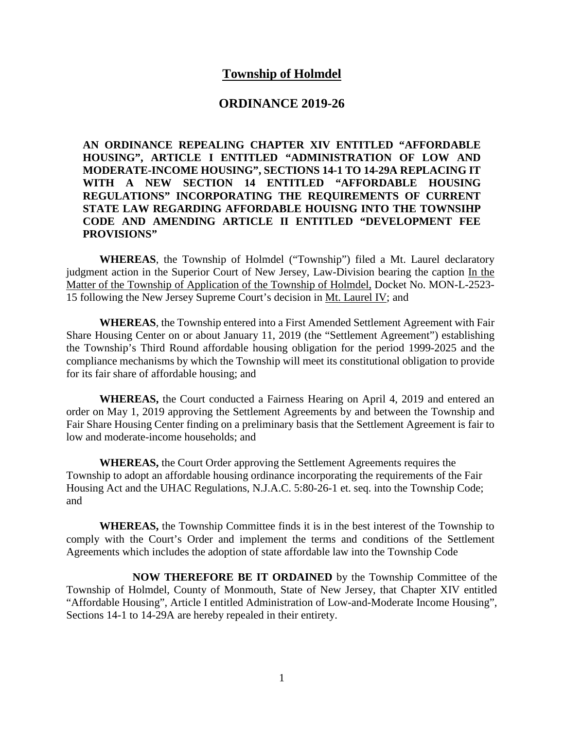## **Township of Holmdel**

#### **ORDINANCE 2019-26**

**AN ORDINANCE REPEALING CHAPTER XIV ENTITLED "AFFORDABLE HOUSING", ARTICLE I ENTITLED "ADMINISTRATION OF LOW AND MODERATE-INCOME HOUSING", SECTIONS 14-1 TO 14-29A REPLACING IT WITH A NEW SECTION 14 ENTITLED "AFFORDABLE HOUSING REGULATIONS" INCORPORATING THE REQUIREMENTS OF CURRENT STATE LAW REGARDING AFFORDABLE HOUISNG INTO THE TOWNSIHP CODE AND AMENDING ARTICLE II ENTITLED "DEVELOPMENT FEE PROVISIONS"**

**WHEREAS**, the Township of Holmdel ("Township") filed a Mt. Laurel declaratory judgment action in the Superior Court of New Jersey, Law-Division bearing the caption In the Matter of the Township of Application of the Township of Holmdel, Docket No. MON-L-2523- 15 following the New Jersey Supreme Court's decision in Mt. Laurel IV; and

**WHEREAS**, the Township entered into a First Amended Settlement Agreement with Fair Share Housing Center on or about January 11, 2019 (the "Settlement Agreement") establishing the Township's Third Round affordable housing obligation for the period 1999-2025 and the compliance mechanisms by which the Township will meet its constitutional obligation to provide for its fair share of affordable housing; and

**WHEREAS,** the Court conducted a Fairness Hearing on April 4, 2019 and entered an order on May 1, 2019 approving the Settlement Agreements by and between the Township and Fair Share Housing Center finding on a preliminary basis that the Settlement Agreement is fair to low and moderate-income households; and

**WHEREAS,** the Court Order approving the Settlement Agreements requires the Township to adopt an affordable housing ordinance incorporating the requirements of the Fair Housing Act and the UHAC Regulations, N.J.A.C. 5:80-26-1 et. seq. into the Township Code; and

**WHEREAS,** the Township Committee finds it is in the best interest of the Township to comply with the Court's Order and implement the terms and conditions of the Settlement Agreements which includes the adoption of state affordable law into the Township Code

**NOW THEREFORE BE IT ORDAINED** by the Township Committee of the Township of Holmdel, County of Monmouth, State of New Jersey, that Chapter XIV entitled "Affordable Housing", Article I entitled Administration of Low-and-Moderate Income Housing", Sections 14-1 to 14-29A are hereby repealed in their entirety.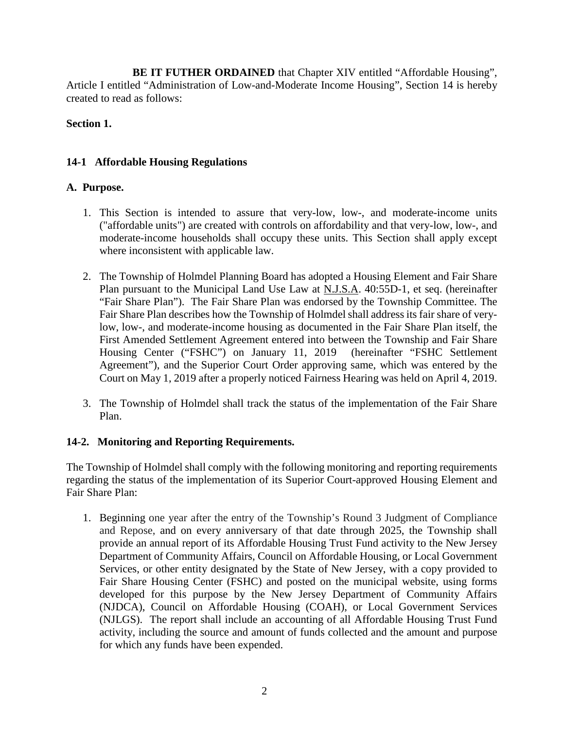**BE IT FUTHER ORDAINED** that Chapter XIV entitled "Affordable Housing", Article I entitled "Administration of Low-and-Moderate Income Housing", Section 14 is hereby created to read as follows:

# **Section 1.**

# **14-1 Affordable Housing Regulations**

## **A. Purpose.**

- 1. This Section is intended to assure that very-low, low-, and moderate-income units ("affordable units") are created with controls on affordability and that very-low, low-, and moderate-income households shall occupy these units. This Section shall apply except where inconsistent with applicable law.
- 2. The Township of Holmdel Planning Board has adopted a Housing Element and Fair Share Plan pursuant to the Municipal Land Use Law at N.J.S.A. 40:55D-1, et seq. (hereinafter "Fair Share Plan"). The Fair Share Plan was endorsed by the Township Committee. The Fair Share Plan describes how the Township of Holmdel shall address its fair share of verylow, low-, and moderate-income housing as documented in the Fair Share Plan itself, the First Amended Settlement Agreement entered into between the Township and Fair Share Housing Center ("FSHC") on January 11, 2019 (hereinafter "FSHC Settlement Agreement"), and the Superior Court Order approving same, which was entered by the Court on May 1, 2019 after a properly noticed Fairness Hearing was held on April 4, 2019.
- 3. The Township of Holmdel shall track the status of the implementation of the Fair Share Plan.

## **14-2. Monitoring and Reporting Requirements.**

The Township of Holmdel shall comply with the following monitoring and reporting requirements regarding the status of the implementation of its Superior Court-approved Housing Element and Fair Share Plan:

1. Beginning one year after the entry of the Township's Round 3 Judgment of Compliance and Repose, and on every anniversary of that date through 2025, the Township shall provide an annual report of its Affordable Housing Trust Fund activity to the New Jersey Department of Community Affairs, Council on Affordable Housing, or Local Government Services, or other entity designated by the State of New Jersey, with a copy provided to Fair Share Housing Center (FSHC) and posted on the municipal website, using forms developed for this purpose by the New Jersey Department of Community Affairs (NJDCA), Council on Affordable Housing (COAH), or Local Government Services (NJLGS). The report shall include an accounting of all Affordable Housing Trust Fund activity, including the source and amount of funds collected and the amount and purpose for which any funds have been expended.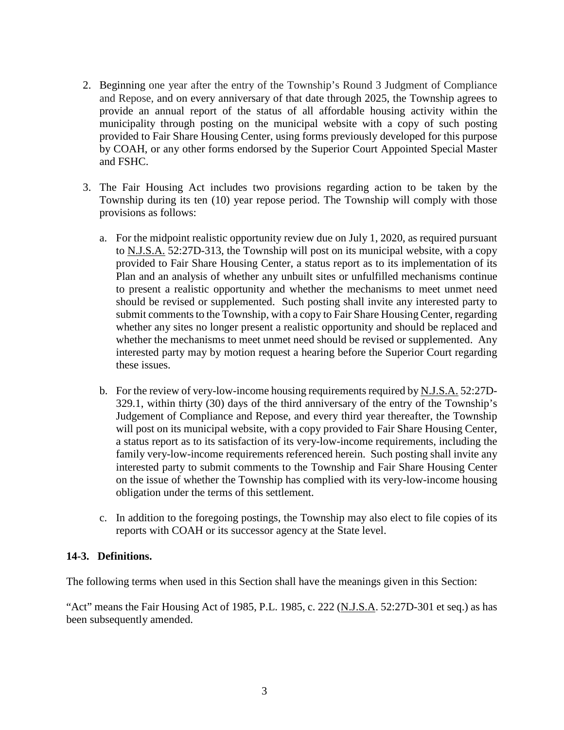- 2. Beginning one year after the entry of the Township's Round 3 Judgment of Compliance and Repose, and on every anniversary of that date through 2025, the Township agrees to provide an annual report of the status of all affordable housing activity within the municipality through posting on the municipal website with a copy of such posting provided to Fair Share Housing Center, using forms previously developed for this purpose by COAH, or any other forms endorsed by the Superior Court Appointed Special Master and FSHC.
- 3. The Fair Housing Act includes two provisions regarding action to be taken by the Township during its ten (10) year repose period. The Township will comply with those provisions as follows:
	- a. For the midpoint realistic opportunity review due on July 1, 2020, as required pursuant to N.J.S.A. 52:27D-313, the Township will post on its municipal website, with a copy provided to Fair Share Housing Center, a status report as to its implementation of its Plan and an analysis of whether any unbuilt sites or unfulfilled mechanisms continue to present a realistic opportunity and whether the mechanisms to meet unmet need should be revised or supplemented. Such posting shall invite any interested party to submit comments to the Township, with a copy to Fair Share Housing Center, regarding whether any sites no longer present a realistic opportunity and should be replaced and whether the mechanisms to meet unmet need should be revised or supplemented. Any interested party may by motion request a hearing before the Superior Court regarding these issues.
	- b. For the review of very-low-income housing requirements required by N.J.S.A. 52:27D-329.1, within thirty (30) days of the third anniversary of the entry of the Township's Judgement of Compliance and Repose, and every third year thereafter, the Township will post on its municipal website, with a copy provided to Fair Share Housing Center, a status report as to its satisfaction of its very-low-income requirements, including the family very-low-income requirements referenced herein. Such posting shall invite any interested party to submit comments to the Township and Fair Share Housing Center on the issue of whether the Township has complied with its very-low-income housing obligation under the terms of this settlement.
	- c. In addition to the foregoing postings, the Township may also elect to file copies of its reports with COAH or its successor agency at the State level.

## **14-3. Definitions.**

The following terms when used in this Section shall have the meanings given in this Section:

"Act" means the Fair Housing Act of 1985, P.L. 1985, c. 222 (N.J.S.A. 52:27D-301 et seq.) as has been subsequently amended.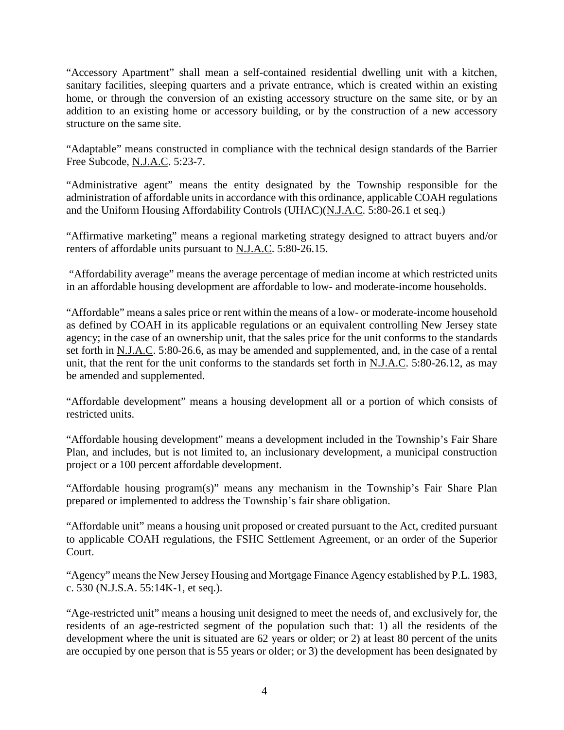"Accessory Apartment" shall mean a self-contained residential dwelling unit with a kitchen, sanitary facilities, sleeping quarters and a private entrance, which is created within an existing home, or through the conversion of an existing accessory structure on the same site, or by an addition to an existing home or accessory building, or by the construction of a new accessory structure on the same site.

"Adaptable" means constructed in compliance with the technical design standards of the Barrier Free Subcode, N.J.A.C. 5:23-7.

"Administrative agent" means the entity designated by the Township responsible for the administration of affordable units in accordance with this ordinance, applicable COAH regulations and the Uniform Housing Affordability Controls (UHAC)(N.J.A.C. 5:80-26.1 et seq.)

"Affirmative marketing" means a regional marketing strategy designed to attract buyers and/or renters of affordable units pursuant to N.J.A.C. 5:80-26.15.

"Affordability average" means the average percentage of median income at which restricted units in an affordable housing development are affordable to low- and moderate-income households.

"Affordable" means a sales price or rent within the means of a low- or moderate-income household as defined by COAH in its applicable regulations or an equivalent controlling New Jersey state agency; in the case of an ownership unit, that the sales price for the unit conforms to the standards set forth in N.J.A.C. 5:80-26.6, as may be amended and supplemented, and, in the case of a rental unit, that the rent for the unit conforms to the standards set forth in N.J.A.C. 5:80-26.12, as may be amended and supplemented.

"Affordable development" means a housing development all or a portion of which consists of restricted units.

"Affordable housing development" means a development included in the Township's Fair Share Plan, and includes, but is not limited to, an inclusionary development, a municipal construction project or a 100 percent affordable development.

"Affordable housing program(s)" means any mechanism in the Township's Fair Share Plan prepared or implemented to address the Township's fair share obligation.

"Affordable unit" means a housing unit proposed or created pursuant to the Act, credited pursuant to applicable COAH regulations, the FSHC Settlement Agreement, or an order of the Superior Court.

"Agency" means the New Jersey Housing and Mortgage Finance Agency established by P.L. 1983, c. 530 (N.J.S.A. 55:14K-1, et seq.).

"Age-restricted unit" means a housing unit designed to meet the needs of, and exclusively for, the residents of an age-restricted segment of the population such that: 1) all the residents of the development where the unit is situated are 62 years or older; or 2) at least 80 percent of the units are occupied by one person that is 55 years or older; or 3) the development has been designated by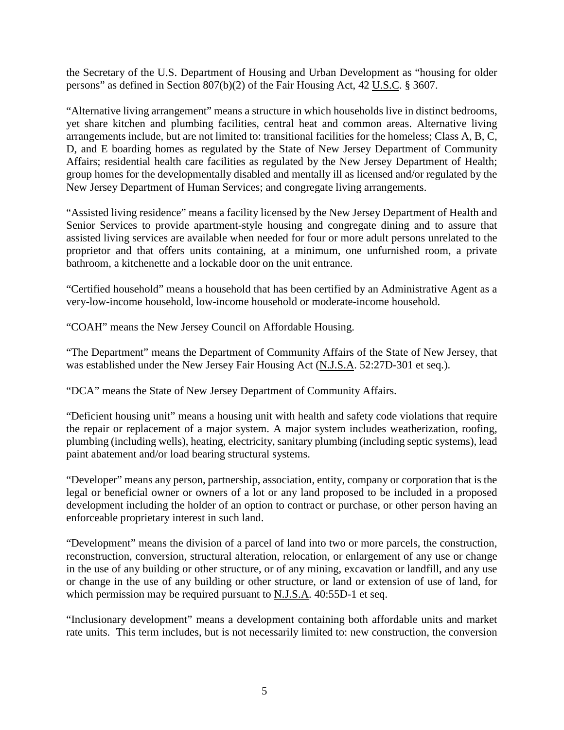the Secretary of the U.S. Department of Housing and Urban Development as "housing for older persons" as defined in Section 807(b)(2) of the Fair Housing Act, 42 U.S.C. § 3607.

"Alternative living arrangement" means a structure in which households live in distinct bedrooms, yet share kitchen and plumbing facilities, central heat and common areas. Alternative living arrangements include, but are not limited to: transitional facilities for the homeless; Class A, B, C, D, and E boarding homes as regulated by the State of New Jersey Department of Community Affairs; residential health care facilities as regulated by the New Jersey Department of Health; group homes for the developmentally disabled and mentally ill as licensed and/or regulated by the New Jersey Department of Human Services; and congregate living arrangements.

"Assisted living residence" means a facility licensed by the New Jersey Department of Health and Senior Services to provide apartment-style housing and congregate dining and to assure that assisted living services are available when needed for four or more adult persons unrelated to the proprietor and that offers units containing, at a minimum, one unfurnished room, a private bathroom, a kitchenette and a lockable door on the unit entrance.

"Certified household" means a household that has been certified by an Administrative Agent as a very-low-income household, low-income household or moderate-income household.

"COAH" means the New Jersey Council on Affordable Housing.

"The Department" means the Department of Community Affairs of the State of New Jersey, that was established under the New Jersey Fair Housing Act (N.J.S.A. 52:27D-301 et seq.).

"DCA" means the State of New Jersey Department of Community Affairs.

"Deficient housing unit" means a housing unit with health and safety code violations that require the repair or replacement of a major system. A major system includes weatherization, roofing, plumbing (including wells), heating, electricity, sanitary plumbing (including septic systems), lead paint abatement and/or load bearing structural systems.

"Developer" means any person, partnership, association, entity, company or corporation that is the legal or beneficial owner or owners of a lot or any land proposed to be included in a proposed development including the holder of an option to contract or purchase, or other person having an enforceable proprietary interest in such land.

"Development" means the division of a parcel of land into two or more parcels, the construction, reconstruction, conversion, structural alteration, relocation, or enlargement of any use or change in the use of any building or other structure, or of any mining, excavation or landfill, and any use or change in the use of any building or other structure, or land or extension of use of land, for which permission may be required pursuant to N.J.S.A. 40:55D-1 et seq.

"Inclusionary development" means a development containing both affordable units and market rate units. This term includes, but is not necessarily limited to: new construction, the conversion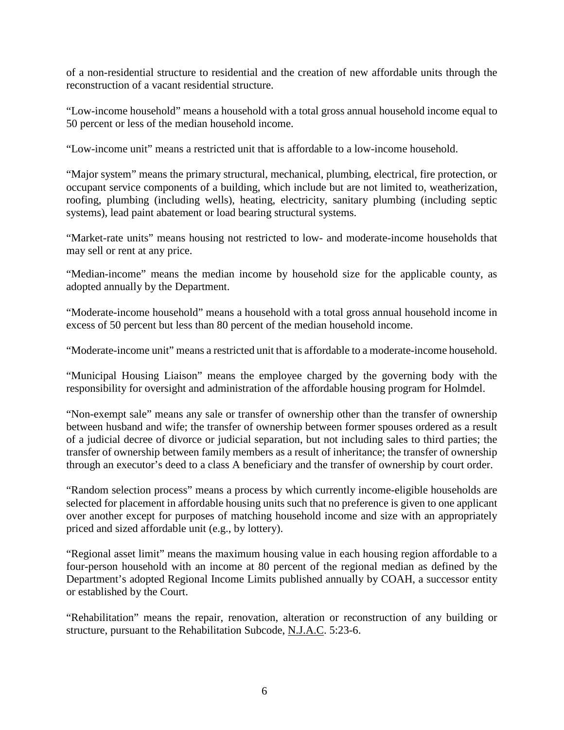of a non-residential structure to residential and the creation of new affordable units through the reconstruction of a vacant residential structure.

"Low-income household" means a household with a total gross annual household income equal to 50 percent or less of the median household income.

"Low-income unit" means a restricted unit that is affordable to a low-income household.

"Major system" means the primary structural, mechanical, plumbing, electrical, fire protection, or occupant service components of a building, which include but are not limited to, weatherization, roofing, plumbing (including wells), heating, electricity, sanitary plumbing (including septic systems), lead paint abatement or load bearing structural systems.

"Market-rate units" means housing not restricted to low- and moderate-income households that may sell or rent at any price.

"Median-income" means the median income by household size for the applicable county, as adopted annually by the Department.

"Moderate-income household" means a household with a total gross annual household income in excess of 50 percent but less than 80 percent of the median household income.

"Moderate-income unit" means a restricted unit that is affordable to a moderate-income household.

"Municipal Housing Liaison" means the employee charged by the governing body with the responsibility for oversight and administration of the affordable housing program for Holmdel.

"Non-exempt sale" means any sale or transfer of ownership other than the transfer of ownership between husband and wife; the transfer of ownership between former spouses ordered as a result of a judicial decree of divorce or judicial separation, but not including sales to third parties; the transfer of ownership between family members as a result of inheritance; the transfer of ownership through an executor's deed to a class A beneficiary and the transfer of ownership by court order.

"Random selection process" means a process by which currently income-eligible households are selected for placement in affordable housing units such that no preference is given to one applicant over another except for purposes of matching household income and size with an appropriately priced and sized affordable unit (e.g., by lottery).

"Regional asset limit" means the maximum housing value in each housing region affordable to a four-person household with an income at 80 percent of the regional median as defined by the Department's adopted Regional Income Limits published annually by COAH, a successor entity or established by the Court.

"Rehabilitation" means the repair, renovation, alteration or reconstruction of any building or structure, pursuant to the Rehabilitation Subcode, N.J.A.C. 5:23-6.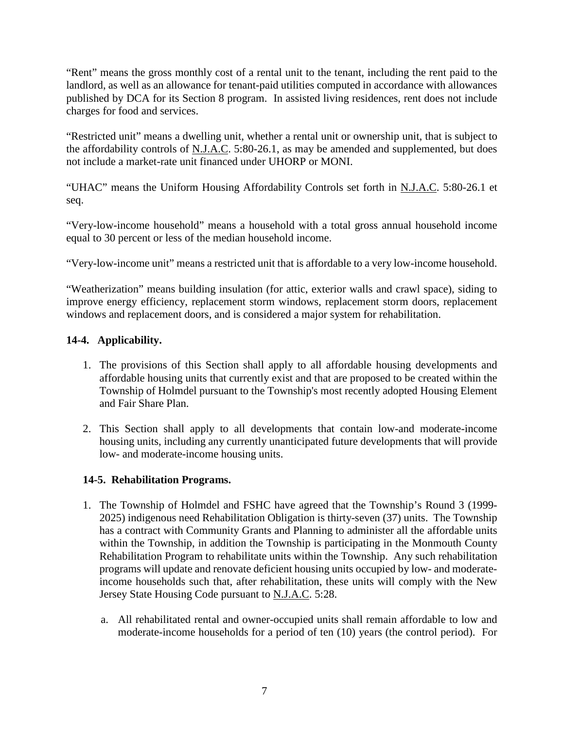"Rent" means the gross monthly cost of a rental unit to the tenant, including the rent paid to the landlord, as well as an allowance for tenant-paid utilities computed in accordance with allowances published by DCA for its Section 8 program. In assisted living residences, rent does not include charges for food and services.

"Restricted unit" means a dwelling unit, whether a rental unit or ownership unit, that is subject to the affordability controls of N.J.A.C. 5:80-26.1, as may be amended and supplemented, but does not include a market-rate unit financed under UHORP or MONI.

"UHAC" means the Uniform Housing Affordability Controls set forth in N.J.A.C. 5:80-26.1 et seq.

"Very-low-income household" means a household with a total gross annual household income equal to 30 percent or less of the median household income.

"Very-low-income unit" means a restricted unit that is affordable to a very low-income household.

"Weatherization" means building insulation (for attic, exterior walls and crawl space), siding to improve energy efficiency, replacement storm windows, replacement storm doors, replacement windows and replacement doors, and is considered a major system for rehabilitation.

# **14-4. Applicability.**

- 1. The provisions of this Section shall apply to all affordable housing developments and affordable housing units that currently exist and that are proposed to be created within the Township of Holmdel pursuant to the Township's most recently adopted Housing Element and Fair Share Plan.
- 2. This Section shall apply to all developments that contain low-and moderate-income housing units, including any currently unanticipated future developments that will provide low- and moderate-income housing units.

## **14-5. Rehabilitation Programs.**

- 1. The Township of Holmdel and FSHC have agreed that the Township's Round 3 (1999- 2025) indigenous need Rehabilitation Obligation is thirty-seven (37) units. The Township has a contract with Community Grants and Planning to administer all the affordable units within the Township, in addition the Township is participating in the Monmouth County Rehabilitation Program to rehabilitate units within the Township. Any such rehabilitation programs will update and renovate deficient housing units occupied by low- and moderateincome households such that, after rehabilitation, these units will comply with the New Jersey State Housing Code pursuant to N.J.A.C. 5:28.
	- a. All rehabilitated rental and owner-occupied units shall remain affordable to low and moderate-income households for a period of ten (10) years (the control period). For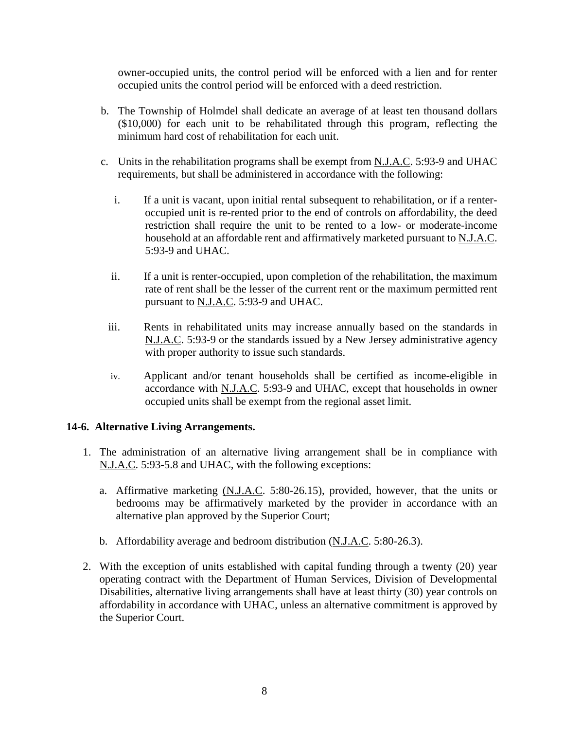owner-occupied units, the control period will be enforced with a lien and for renter occupied units the control period will be enforced with a deed restriction.

- b. The Township of Holmdel shall dedicate an average of at least ten thousand dollars (\$10,000) for each unit to be rehabilitated through this program, reflecting the minimum hard cost of rehabilitation for each unit.
- c. Units in the rehabilitation programs shall be exempt from N.J.A.C. 5:93-9 and UHAC requirements, but shall be administered in accordance with the following:
	- i. If a unit is vacant, upon initial rental subsequent to rehabilitation, or if a renteroccupied unit is re-rented prior to the end of controls on affordability, the deed restriction shall require the unit to be rented to a low- or moderate-income household at an affordable rent and affirmatively marketed pursuant to N.J.A.C. 5:93-9 and UHAC.
	- ii. If a unit is renter-occupied, upon completion of the rehabilitation, the maximum rate of rent shall be the lesser of the current rent or the maximum permitted rent pursuant to N.J.A.C. 5:93-9 and UHAC.
	- iii. Rents in rehabilitated units may increase annually based on the standards in N.J.A.C. 5:93-9 or the standards issued by a New Jersey administrative agency with proper authority to issue such standards.
	- iv. Applicant and/or tenant households shall be certified as income-eligible in accordance with N.J.A.C. 5:93-9 and UHAC, except that households in owner occupied units shall be exempt from the regional asset limit.

#### **14-6. Alternative Living Arrangements.**

- 1. The administration of an alternative living arrangement shall be in compliance with N.J.A.C. 5:93-5.8 and UHAC, with the following exceptions:
	- a. Affirmative marketing (N.J.A.C. 5:80-26.15), provided, however, that the units or bedrooms may be affirmatively marketed by the provider in accordance with an alternative plan approved by the Superior Court;
	- b. Affordability average and bedroom distribution (N.J.A.C. 5:80-26.3).
- 2. With the exception of units established with capital funding through a twenty (20) year operating contract with the Department of Human Services, Division of Developmental Disabilities, alternative living arrangements shall have at least thirty (30) year controls on affordability in accordance with UHAC, unless an alternative commitment is approved by the Superior Court.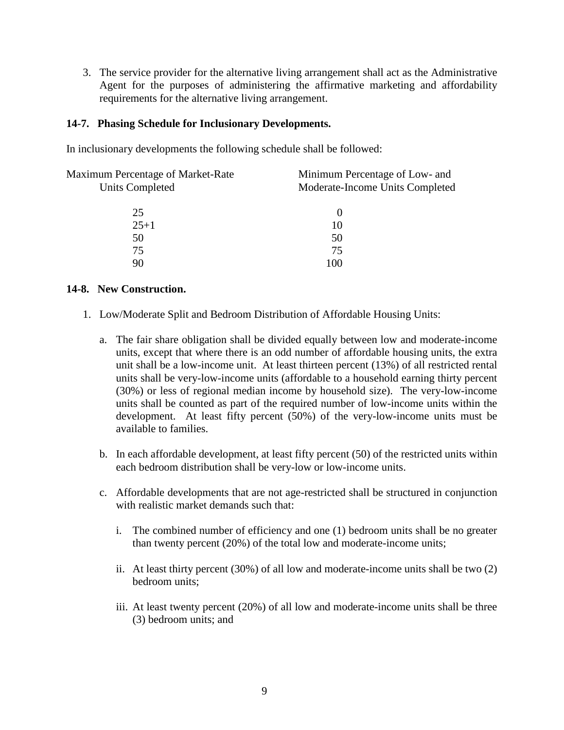3. The service provider for the alternative living arrangement shall act as the Administrative Agent for the purposes of administering the affirmative marketing and affordability requirements for the alternative living arrangement.

#### **14-7. Phasing Schedule for Inclusionary Developments.**

In inclusionary developments the following schedule shall be followed:

| Maximum Percentage of Market-Rate | Minimum Percentage of Low- and  |
|-----------------------------------|---------------------------------|
| <b>Units Completed</b>            | Moderate-Income Units Completed |
|                                   |                                 |
| 25                                | $\theta$                        |
| $25 + 1$                          | 10                              |
| 50                                | 50                              |
| 75                                | 75                              |
| 90                                | 100                             |
|                                   |                                 |

#### **14-8. New Construction.**

- 1. Low/Moderate Split and Bedroom Distribution of Affordable Housing Units:
	- a. The fair share obligation shall be divided equally between low and moderate-income units, except that where there is an odd number of affordable housing units, the extra unit shall be a low-income unit. At least thirteen percent (13%) of all restricted rental units shall be very-low-income units (affordable to a household earning thirty percent (30%) or less of regional median income by household size). The very-low-income units shall be counted as part of the required number of low-income units within the development. At least fifty percent (50%) of the very-low-income units must be available to families.
	- b. In each affordable development, at least fifty percent (50) of the restricted units within each bedroom distribution shall be very-low or low-income units.
	- c. Affordable developments that are not age-restricted shall be structured in conjunction with realistic market demands such that:
		- i. The combined number of efficiency and one (1) bedroom units shall be no greater than twenty percent (20%) of the total low and moderate-income units;
		- ii. At least thirty percent (30%) of all low and moderate-income units shall be two (2) bedroom units;
		- iii. At least twenty percent (20%) of all low and moderate-income units shall be three (3) bedroom units; and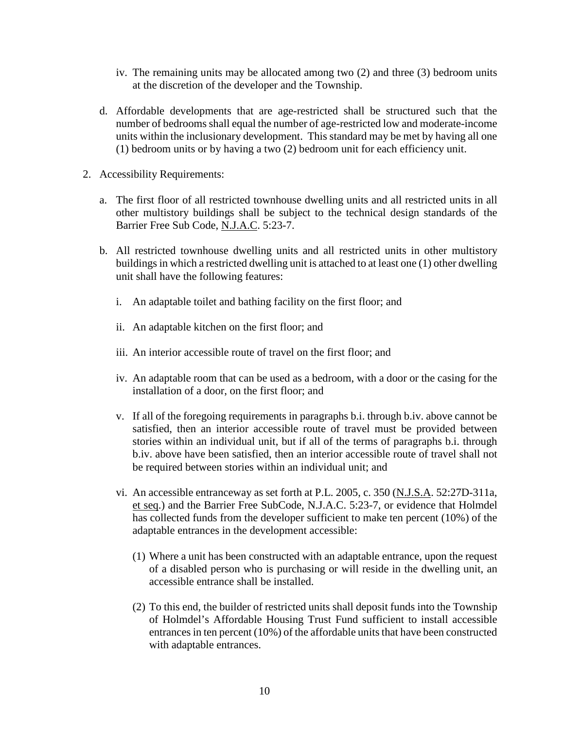- iv. The remaining units may be allocated among two (2) and three (3) bedroom units at the discretion of the developer and the Township.
- d. Affordable developments that are age-restricted shall be structured such that the number of bedrooms shall equal the number of age-restricted low and moderate-income units within the inclusionary development. This standard may be met by having all one (1) bedroom units or by having a two (2) bedroom unit for each efficiency unit.
- 2. Accessibility Requirements:
	- a. The first floor of all restricted townhouse dwelling units and all restricted units in all other multistory buildings shall be subject to the technical design standards of the Barrier Free Sub Code, N.J.A.C. 5:23-7.
	- b. All restricted townhouse dwelling units and all restricted units in other multistory buildings in which a restricted dwelling unit is attached to at least one (1) other dwelling unit shall have the following features:
		- i. An adaptable toilet and bathing facility on the first floor; and
		- ii. An adaptable kitchen on the first floor; and
		- iii. An interior accessible route of travel on the first floor; and
		- iv. An adaptable room that can be used as a bedroom, with a door or the casing for the installation of a door, on the first floor; and
		- v. If all of the foregoing requirements in paragraphs b.i. through b.iv. above cannot be satisfied, then an interior accessible route of travel must be provided between stories within an individual unit, but if all of the terms of paragraphs b.i. through b.iv. above have been satisfied, then an interior accessible route of travel shall not be required between stories within an individual unit; and
		- vi. An accessible entranceway as set forth at P.L. 2005, c. 350 (N.J.S.A. 52:27D-311a, et seq.) and the Barrier Free SubCode, N.J.A.C. 5:23-7, or evidence that Holmdel has collected funds from the developer sufficient to make ten percent (10%) of the adaptable entrances in the development accessible:
			- (1) Where a unit has been constructed with an adaptable entrance, upon the request of a disabled person who is purchasing or will reside in the dwelling unit, an accessible entrance shall be installed.
			- (2) To this end, the builder of restricted units shall deposit funds into the Township of Holmdel's Affordable Housing Trust Fund sufficient to install accessible entrances in ten percent (10%) of the affordable units that have been constructed with adaptable entrances.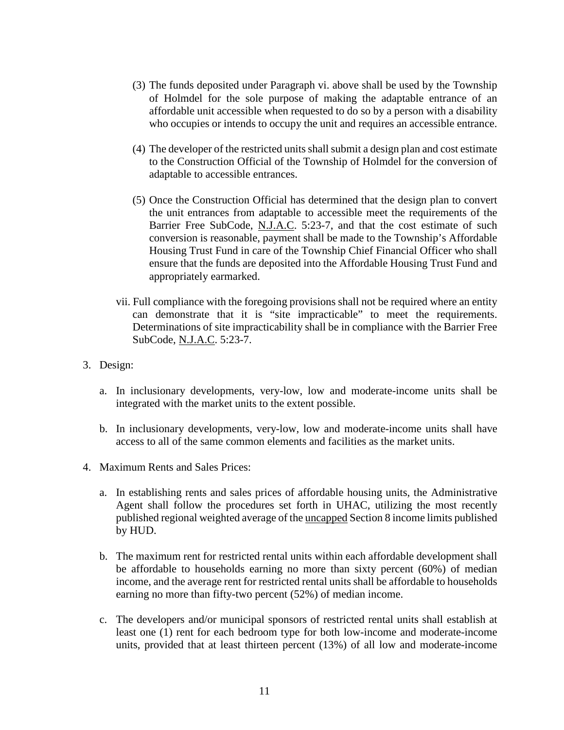- (3) The funds deposited under Paragraph vi. above shall be used by the Township of Holmdel for the sole purpose of making the adaptable entrance of an affordable unit accessible when requested to do so by a person with a disability who occupies or intends to occupy the unit and requires an accessible entrance.
- (4) The developer of the restricted units shall submit a design plan and cost estimate to the Construction Official of the Township of Holmdel for the conversion of adaptable to accessible entrances.
- (5) Once the Construction Official has determined that the design plan to convert the unit entrances from adaptable to accessible meet the requirements of the Barrier Free SubCode, N.J.A.C. 5:23-7, and that the cost estimate of such conversion is reasonable, payment shall be made to the Township's Affordable Housing Trust Fund in care of the Township Chief Financial Officer who shall ensure that the funds are deposited into the Affordable Housing Trust Fund and appropriately earmarked.
- vii. Full compliance with the foregoing provisions shall not be required where an entity can demonstrate that it is "site impracticable" to meet the requirements. Determinations of site impracticability shall be in compliance with the Barrier Free SubCode, N.J.A.C. 5:23-7.
- 3. Design:
	- a. In inclusionary developments, very-low, low and moderate-income units shall be integrated with the market units to the extent possible.
	- b. In inclusionary developments, very-low, low and moderate-income units shall have access to all of the same common elements and facilities as the market units.
- 4. Maximum Rents and Sales Prices:
	- a. In establishing rents and sales prices of affordable housing units, the Administrative Agent shall follow the procedures set forth in UHAC, utilizing the most recently published regional weighted average of the uncapped Section 8 income limits published by HUD.
	- b. The maximum rent for restricted rental units within each affordable development shall be affordable to households earning no more than sixty percent (60%) of median income, and the average rent for restricted rental units shall be affordable to households earning no more than fifty-two percent (52%) of median income.
	- c. The developers and/or municipal sponsors of restricted rental units shall establish at least one (1) rent for each bedroom type for both low-income and moderate-income units, provided that at least thirteen percent (13%) of all low and moderate-income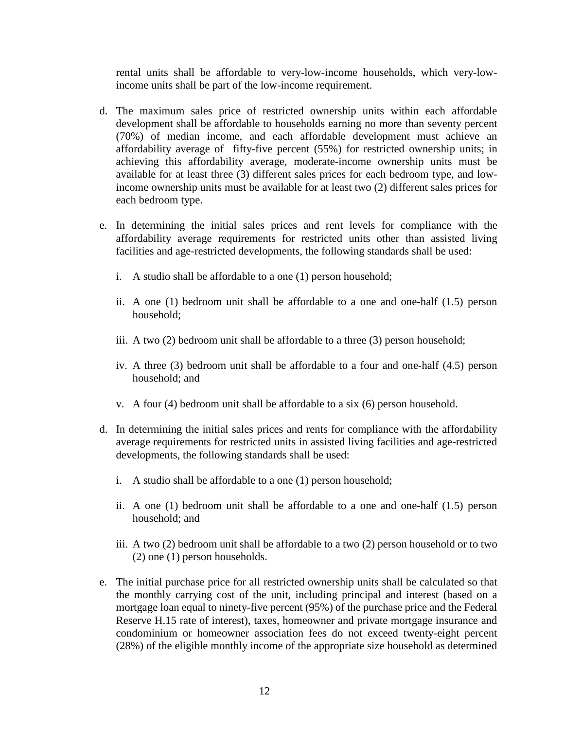rental units shall be affordable to very-low-income households, which very-lowincome units shall be part of the low-income requirement.

- d. The maximum sales price of restricted ownership units within each affordable development shall be affordable to households earning no more than seventy percent (70%) of median income, and each affordable development must achieve an affordability average of fifty-five percent (55%) for restricted ownership units; in achieving this affordability average, moderate-income ownership units must be available for at least three (3) different sales prices for each bedroom type, and lowincome ownership units must be available for at least two (2) different sales prices for each bedroom type.
- e. In determining the initial sales prices and rent levels for compliance with the affordability average requirements for restricted units other than assisted living facilities and age-restricted developments, the following standards shall be used:
	- i. A studio shall be affordable to a one (1) person household;
	- ii. A one (1) bedroom unit shall be affordable to a one and one-half (1.5) person household;
	- iii. A two (2) bedroom unit shall be affordable to a three (3) person household;
	- iv. A three (3) bedroom unit shall be affordable to a four and one-half (4.5) person household; and
	- v. A four (4) bedroom unit shall be affordable to a six (6) person household.
- d. In determining the initial sales prices and rents for compliance with the affordability average requirements for restricted units in assisted living facilities and age-restricted developments, the following standards shall be used:
	- i. A studio shall be affordable to a one (1) person household;
	- ii. A one (1) bedroom unit shall be affordable to a one and one-half (1.5) person household; and
	- iii. A two (2) bedroom unit shall be affordable to a two (2) person household or to two (2) one (1) person households.
- e. The initial purchase price for all restricted ownership units shall be calculated so that the monthly carrying cost of the unit, including principal and interest (based on a mortgage loan equal to ninety-five percent (95%) of the purchase price and the Federal Reserve H.15 rate of interest), taxes, homeowner and private mortgage insurance and condominium or homeowner association fees do not exceed twenty-eight percent (28%) of the eligible monthly income of the appropriate size household as determined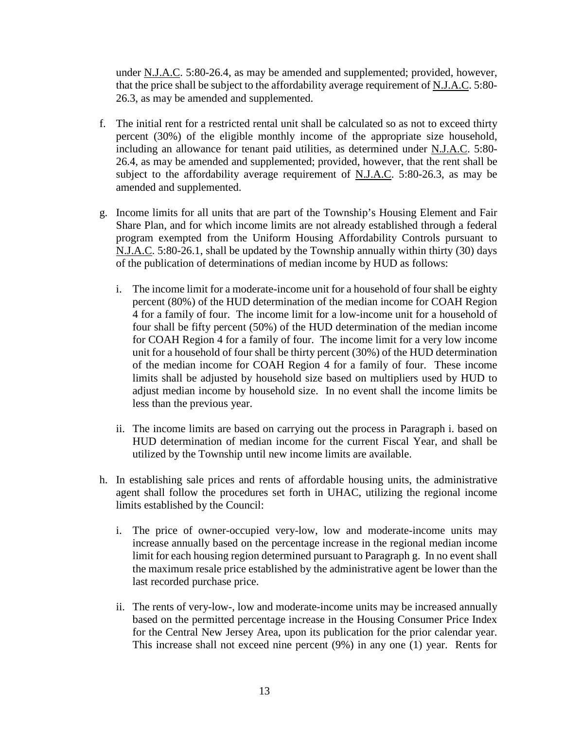under N.J.A.C. 5:80-26.4, as may be amended and supplemented; provided, however, that the price shall be subject to the affordability average requirement of  $N_J.A.C. 5:80-$ 26.3, as may be amended and supplemented.

- f. The initial rent for a restricted rental unit shall be calculated so as not to exceed thirty percent (30%) of the eligible monthly income of the appropriate size household, including an allowance for tenant paid utilities, as determined under N.J.A.C. 5:80- 26.4, as may be amended and supplemented; provided, however, that the rent shall be subject to the affordability average requirement of N.J.A.C. 5:80-26.3, as may be amended and supplemented.
- g. Income limits for all units that are part of the Township's Housing Element and Fair Share Plan, and for which income limits are not already established through a federal program exempted from the Uniform Housing Affordability Controls pursuant to N.J.A.C. 5:80-26.1, shall be updated by the Township annually within thirty (30) days of the publication of determinations of median income by HUD as follows:
	- i. The income limit for a moderate-income unit for a household of four shall be eighty percent (80%) of the HUD determination of the median income for COAH Region 4 for a family of four. The income limit for a low-income unit for a household of four shall be fifty percent (50%) of the HUD determination of the median income for COAH Region 4 for a family of four. The income limit for a very low income unit for a household of four shall be thirty percent (30%) of the HUD determination of the median income for COAH Region 4 for a family of four. These income limits shall be adjusted by household size based on multipliers used by HUD to adjust median income by household size. In no event shall the income limits be less than the previous year.
	- ii. The income limits are based on carrying out the process in Paragraph i. based on HUD determination of median income for the current Fiscal Year, and shall be utilized by the Township until new income limits are available.
- h. In establishing sale prices and rents of affordable housing units, the administrative agent shall follow the procedures set forth in UHAC, utilizing the regional income limits established by the Council:
	- i. The price of owner-occupied very-low, low and moderate-income units may increase annually based on the percentage increase in the regional median income limit for each housing region determined pursuant to Paragraph g. In no event shall the maximum resale price established by the administrative agent be lower than the last recorded purchase price.
	- ii. The rents of very-low-, low and moderate-income units may be increased annually based on the permitted percentage increase in the Housing Consumer Price Index for the Central New Jersey Area, upon its publication for the prior calendar year. This increase shall not exceed nine percent (9%) in any one (1) year. Rents for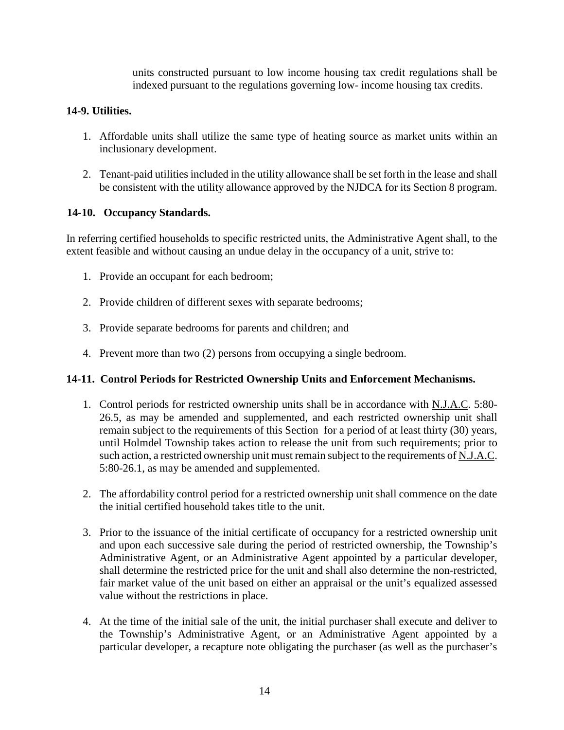units constructed pursuant to low income housing tax credit regulations shall be indexed pursuant to the regulations governing low- income housing tax credits.

### **14-9. Utilities.**

- 1. Affordable units shall utilize the same type of heating source as market units within an inclusionary development.
- 2. Tenant-paid utilities included in the utility allowance shall be set forth in the lease and shall be consistent with the utility allowance approved by the NJDCA for its Section 8 program.

### **14-10. Occupancy Standards.**

In referring certified households to specific restricted units, the Administrative Agent shall, to the extent feasible and without causing an undue delay in the occupancy of a unit, strive to:

- 1. Provide an occupant for each bedroom;
- 2. Provide children of different sexes with separate bedrooms;
- 3. Provide separate bedrooms for parents and children; and
- 4. Prevent more than two (2) persons from occupying a single bedroom.

#### **14-11. Control Periods for Restricted Ownership Units and Enforcement Mechanisms.**

- 1. Control periods for restricted ownership units shall be in accordance with N.J.A.C. 5:80- 26.5, as may be amended and supplemented, and each restricted ownership unit shall remain subject to the requirements of this Section for a period of at least thirty (30) years, until Holmdel Township takes action to release the unit from such requirements; prior to such action, a restricted ownership unit must remain subject to the requirements of N.J.A.C. 5:80-26.1, as may be amended and supplemented.
- 2. The affordability control period for a restricted ownership unit shall commence on the date the initial certified household takes title to the unit.
- 3. Prior to the issuance of the initial certificate of occupancy for a restricted ownership unit and upon each successive sale during the period of restricted ownership, the Township's Administrative Agent, or an Administrative Agent appointed by a particular developer, shall determine the restricted price for the unit and shall also determine the non-restricted, fair market value of the unit based on either an appraisal or the unit's equalized assessed value without the restrictions in place.
- 4. At the time of the initial sale of the unit, the initial purchaser shall execute and deliver to the Township's Administrative Agent, or an Administrative Agent appointed by a particular developer, a recapture note obligating the purchaser (as well as the purchaser's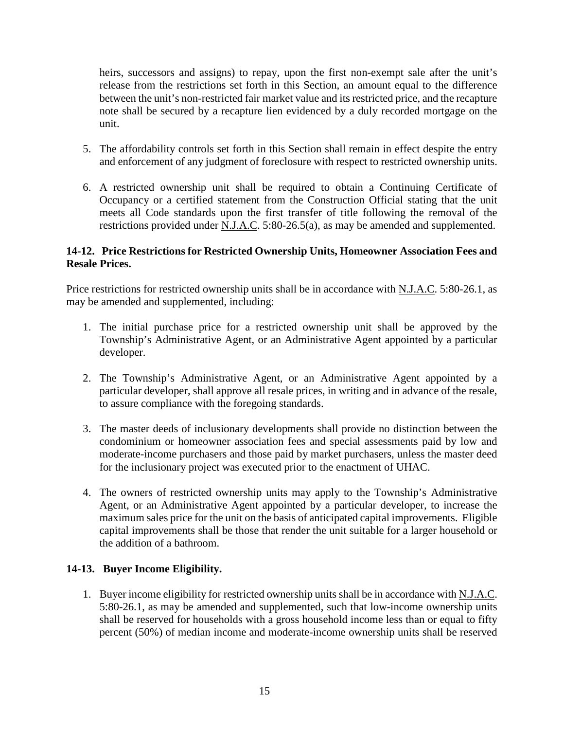heirs, successors and assigns) to repay, upon the first non-exempt sale after the unit's release from the restrictions set forth in this Section, an amount equal to the difference between the unit's non-restricted fair market value and its restricted price, and the recapture note shall be secured by a recapture lien evidenced by a duly recorded mortgage on the unit.

- 5. The affordability controls set forth in this Section shall remain in effect despite the entry and enforcement of any judgment of foreclosure with respect to restricted ownership units.
- 6. A restricted ownership unit shall be required to obtain a Continuing Certificate of Occupancy or a certified statement from the Construction Official stating that the unit meets all Code standards upon the first transfer of title following the removal of the restrictions provided under N.J.A.C. 5:80-26.5(a), as may be amended and supplemented.

## **14-12. Price Restrictions for Restricted Ownership Units, Homeowner Association Fees and Resale Prices.**

Price restrictions for restricted ownership units shall be in accordance with N.J.A.C. 5:80-26.1, as may be amended and supplemented, including:

- 1. The initial purchase price for a restricted ownership unit shall be approved by the Township's Administrative Agent, or an Administrative Agent appointed by a particular developer.
- 2. The Township's Administrative Agent, or an Administrative Agent appointed by a particular developer, shall approve all resale prices, in writing and in advance of the resale, to assure compliance with the foregoing standards.
- 3. The master deeds of inclusionary developments shall provide no distinction between the condominium or homeowner association fees and special assessments paid by low and moderate-income purchasers and those paid by market purchasers, unless the master deed for the inclusionary project was executed prior to the enactment of UHAC.
- 4. The owners of restricted ownership units may apply to the Township's Administrative Agent, or an Administrative Agent appointed by a particular developer, to increase the maximum sales price for the unit on the basis of anticipated capital improvements. Eligible capital improvements shall be those that render the unit suitable for a larger household or the addition of a bathroom.

## **14-13. Buyer Income Eligibility.**

1. Buyer income eligibility for restricted ownership units shall be in accordance with N.J.A.C. 5:80-26.1, as may be amended and supplemented, such that low-income ownership units shall be reserved for households with a gross household income less than or equal to fifty percent (50%) of median income and moderate-income ownership units shall be reserved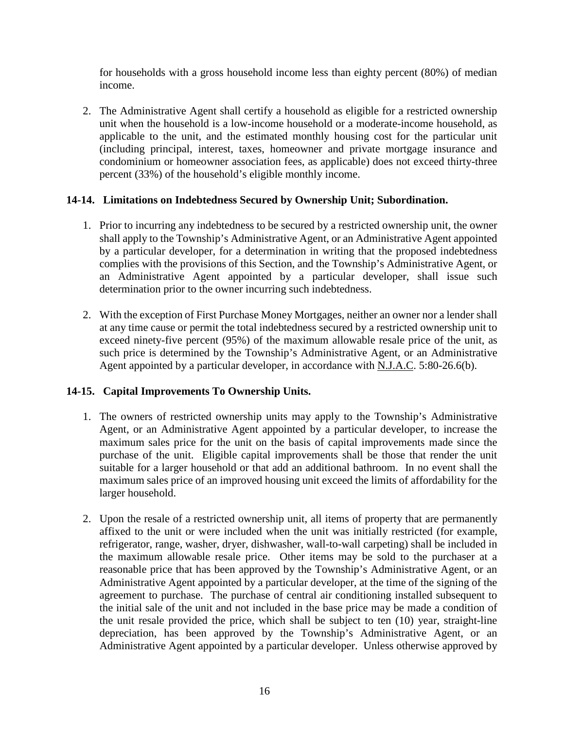for households with a gross household income less than eighty percent (80%) of median income.

2. The Administrative Agent shall certify a household as eligible for a restricted ownership unit when the household is a low-income household or a moderate-income household, as applicable to the unit, and the estimated monthly housing cost for the particular unit (including principal, interest, taxes, homeowner and private mortgage insurance and condominium or homeowner association fees, as applicable) does not exceed thirty-three percent (33%) of the household's eligible monthly income.

## **14-14. Limitations on Indebtedness Secured by Ownership Unit; Subordination.**

- 1. Prior to incurring any indebtedness to be secured by a restricted ownership unit, the owner shall apply to the Township's Administrative Agent, or an Administrative Agent appointed by a particular developer, for a determination in writing that the proposed indebtedness complies with the provisions of this Section, and the Township's Administrative Agent, or an Administrative Agent appointed by a particular developer, shall issue such determination prior to the owner incurring such indebtedness.
- 2. With the exception of First Purchase Money Mortgages, neither an owner nor a lender shall at any time cause or permit the total indebtedness secured by a restricted ownership unit to exceed ninety-five percent (95%) of the maximum allowable resale price of the unit, as such price is determined by the Township's Administrative Agent, or an Administrative Agent appointed by a particular developer, in accordance with N.J.A.C. 5:80-26.6(b).

# **14-15. Capital Improvements To Ownership Units.**

- 1. The owners of restricted ownership units may apply to the Township's Administrative Agent, or an Administrative Agent appointed by a particular developer, to increase the maximum sales price for the unit on the basis of capital improvements made since the purchase of the unit. Eligible capital improvements shall be those that render the unit suitable for a larger household or that add an additional bathroom. In no event shall the maximum sales price of an improved housing unit exceed the limits of affordability for the larger household.
- 2. Upon the resale of a restricted ownership unit, all items of property that are permanently affixed to the unit or were included when the unit was initially restricted (for example, refrigerator, range, washer, dryer, dishwasher, wall-to-wall carpeting) shall be included in the maximum allowable resale price. Other items may be sold to the purchaser at a reasonable price that has been approved by the Township's Administrative Agent, or an Administrative Agent appointed by a particular developer, at the time of the signing of the agreement to purchase. The purchase of central air conditioning installed subsequent to the initial sale of the unit and not included in the base price may be made a condition of the unit resale provided the price, which shall be subject to ten (10) year, straight-line depreciation, has been approved by the Township's Administrative Agent, or an Administrative Agent appointed by a particular developer. Unless otherwise approved by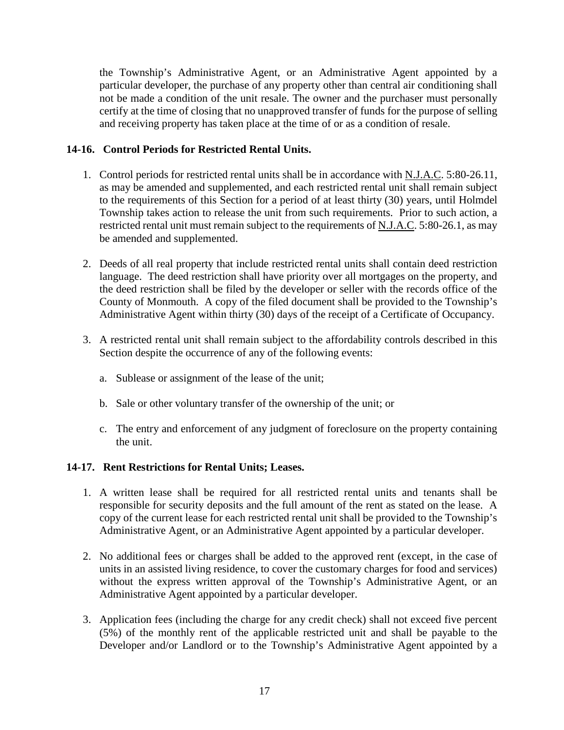the Township's Administrative Agent, or an Administrative Agent appointed by a particular developer, the purchase of any property other than central air conditioning shall not be made a condition of the unit resale. The owner and the purchaser must personally certify at the time of closing that no unapproved transfer of funds for the purpose of selling and receiving property has taken place at the time of or as a condition of resale.

# **14-16. Control Periods for Restricted Rental Units.**

- 1. Control periods for restricted rental units shall be in accordance with N.J.A.C. 5:80-26.11, as may be amended and supplemented, and each restricted rental unit shall remain subject to the requirements of this Section for a period of at least thirty (30) years, until Holmdel Township takes action to release the unit from such requirements. Prior to such action, a restricted rental unit must remain subject to the requirements of N.J.A.C. 5:80-26.1, as may be amended and supplemented.
- 2. Deeds of all real property that include restricted rental units shall contain deed restriction language. The deed restriction shall have priority over all mortgages on the property, and the deed restriction shall be filed by the developer or seller with the records office of the County of Monmouth. A copy of the filed document shall be provided to the Township's Administrative Agent within thirty (30) days of the receipt of a Certificate of Occupancy.
- 3. A restricted rental unit shall remain subject to the affordability controls described in this Section despite the occurrence of any of the following events:
	- a. Sublease or assignment of the lease of the unit;
	- b. Sale or other voluntary transfer of the ownership of the unit; or
	- c. The entry and enforcement of any judgment of foreclosure on the property containing the unit.

#### **14-17. Rent Restrictions for Rental Units; Leases.**

- 1. A written lease shall be required for all restricted rental units and tenants shall be responsible for security deposits and the full amount of the rent as stated on the lease. A copy of the current lease for each restricted rental unit shall be provided to the Township's Administrative Agent, or an Administrative Agent appointed by a particular developer.
- 2. No additional fees or charges shall be added to the approved rent (except, in the case of units in an assisted living residence, to cover the customary charges for food and services) without the express written approval of the Township's Administrative Agent, or an Administrative Agent appointed by a particular developer.
- 3. Application fees (including the charge for any credit check) shall not exceed five percent (5%) of the monthly rent of the applicable restricted unit and shall be payable to the Developer and/or Landlord or to the Township's Administrative Agent appointed by a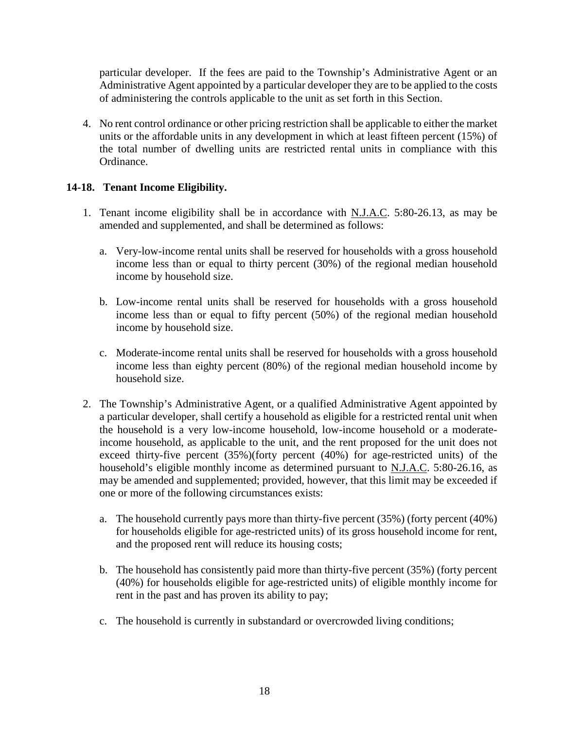particular developer. If the fees are paid to the Township's Administrative Agent or an Administrative Agent appointed by a particular developer they are to be applied to the costs of administering the controls applicable to the unit as set forth in this Section.

4. No rent control ordinance or other pricing restriction shall be applicable to either the market units or the affordable units in any development in which at least fifteen percent (15%) of the total number of dwelling units are restricted rental units in compliance with this Ordinance.

## **14-18. Tenant Income Eligibility.**

- 1. Tenant income eligibility shall be in accordance with N.J.A.C. 5:80-26.13, as may be amended and supplemented, and shall be determined as follows:
	- a. Very-low-income rental units shall be reserved for households with a gross household income less than or equal to thirty percent (30%) of the regional median household income by household size.
	- b. Low-income rental units shall be reserved for households with a gross household income less than or equal to fifty percent (50%) of the regional median household income by household size.
	- c. Moderate-income rental units shall be reserved for households with a gross household income less than eighty percent (80%) of the regional median household income by household size.
- 2. The Township's Administrative Agent, or a qualified Administrative Agent appointed by a particular developer, shall certify a household as eligible for a restricted rental unit when the household is a very low-income household, low-income household or a moderateincome household, as applicable to the unit, and the rent proposed for the unit does not exceed thirty-five percent (35%)(forty percent (40%) for age-restricted units) of the household's eligible monthly income as determined pursuant to N.J.A.C. 5:80-26.16, as may be amended and supplemented; provided, however, that this limit may be exceeded if one or more of the following circumstances exists:
	- a. The household currently pays more than thirty-five percent (35%) (forty percent (40%) for households eligible for age-restricted units) of its gross household income for rent, and the proposed rent will reduce its housing costs;
	- b. The household has consistently paid more than thirty-five percent (35%) (forty percent (40%) for households eligible for age-restricted units) of eligible monthly income for rent in the past and has proven its ability to pay;
	- c. The household is currently in substandard or overcrowded living conditions;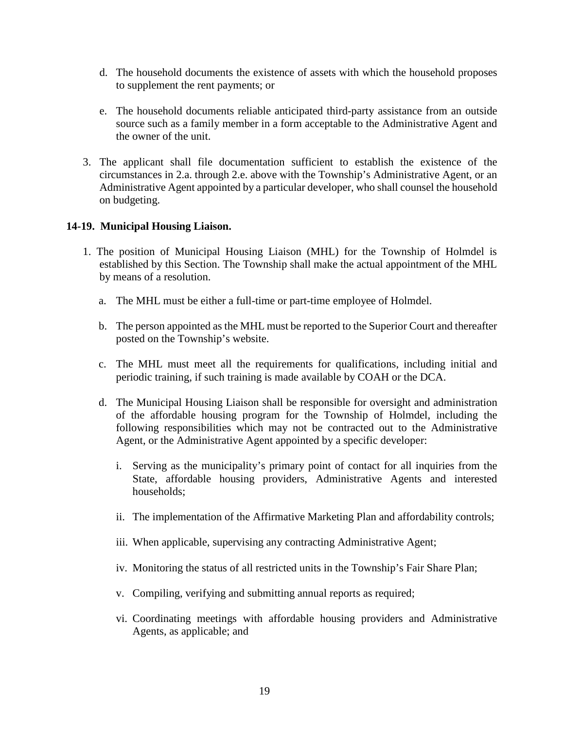- d. The household documents the existence of assets with which the household proposes to supplement the rent payments; or
- e. The household documents reliable anticipated third-party assistance from an outside source such as a family member in a form acceptable to the Administrative Agent and the owner of the unit.
- 3. The applicant shall file documentation sufficient to establish the existence of the circumstances in 2.a. through 2.e. above with the Township's Administrative Agent, or an Administrative Agent appointed by a particular developer, who shall counsel the household on budgeting.

### **14-19. Municipal Housing Liaison.**

- 1. The position of Municipal Housing Liaison (MHL) for the Township of Holmdel is established by this Section. The Township shall make the actual appointment of the MHL by means of a resolution.
	- a. The MHL must be either a full-time or part-time employee of Holmdel.
	- b. The person appointed as the MHL must be reported to the Superior Court and thereafter posted on the Township's website.
	- c. The MHL must meet all the requirements for qualifications, including initial and periodic training, if such training is made available by COAH or the DCA.
	- d. The Municipal Housing Liaison shall be responsible for oversight and administration of the affordable housing program for the Township of Holmdel, including the following responsibilities which may not be contracted out to the Administrative Agent, or the Administrative Agent appointed by a specific developer:
		- i. Serving as the municipality's primary point of contact for all inquiries from the State, affordable housing providers, Administrative Agents and interested households;
		- ii. The implementation of the Affirmative Marketing Plan and affordability controls;
		- iii. When applicable, supervising any contracting Administrative Agent;
		- iv. Monitoring the status of all restricted units in the Township's Fair Share Plan;
		- v. Compiling, verifying and submitting annual reports as required;
		- vi. Coordinating meetings with affordable housing providers and Administrative Agents, as applicable; and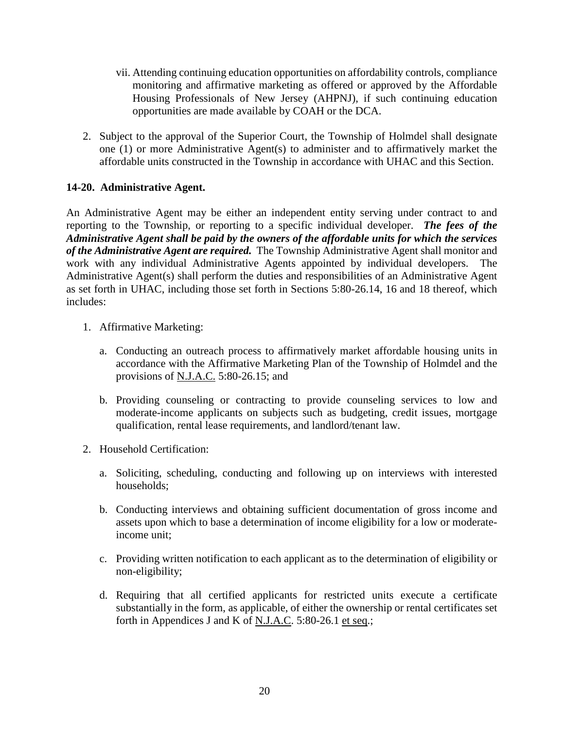- vii. Attending continuing education opportunities on affordability controls, compliance monitoring and affirmative marketing as offered or approved by the Affordable Housing Professionals of New Jersey (AHPNJ), if such continuing education opportunities are made available by COAH or the DCA.
- 2. Subject to the approval of the Superior Court, the Township of Holmdel shall designate one (1) or more Administrative Agent(s) to administer and to affirmatively market the affordable units constructed in the Township in accordance with UHAC and this Section.

# **14-20. Administrative Agent.**

An Administrative Agent may be either an independent entity serving under contract to and reporting to the Township, or reporting to a specific individual developer. *The fees of the Administrative Agent shall be paid by the owners of the affordable units for which the services of the Administrative Agent are required.* The Township Administrative Agent shall monitor and work with any individual Administrative Agents appointed by individual developers. The Administrative Agent(s) shall perform the duties and responsibilities of an Administrative Agent as set forth in UHAC, including those set forth in Sections 5:80-26.14, 16 and 18 thereof, which includes:

- 1. Affirmative Marketing:
	- a. Conducting an outreach process to affirmatively market affordable housing units in accordance with the Affirmative Marketing Plan of the Township of Holmdel and the provisions of N.J.A.C. 5:80-26.15; and
	- b. Providing counseling or contracting to provide counseling services to low and moderate-income applicants on subjects such as budgeting, credit issues, mortgage qualification, rental lease requirements, and landlord/tenant law.
- 2. Household Certification:
	- a. Soliciting, scheduling, conducting and following up on interviews with interested households;
	- b. Conducting interviews and obtaining sufficient documentation of gross income and assets upon which to base a determination of income eligibility for a low or moderateincome unit;
	- c. Providing written notification to each applicant as to the determination of eligibility or non-eligibility;
	- d. Requiring that all certified applicants for restricted units execute a certificate substantially in the form, as applicable, of either the ownership or rental certificates set forth in Appendices J and K of N.J.A.C. 5:80-26.1 et seq.;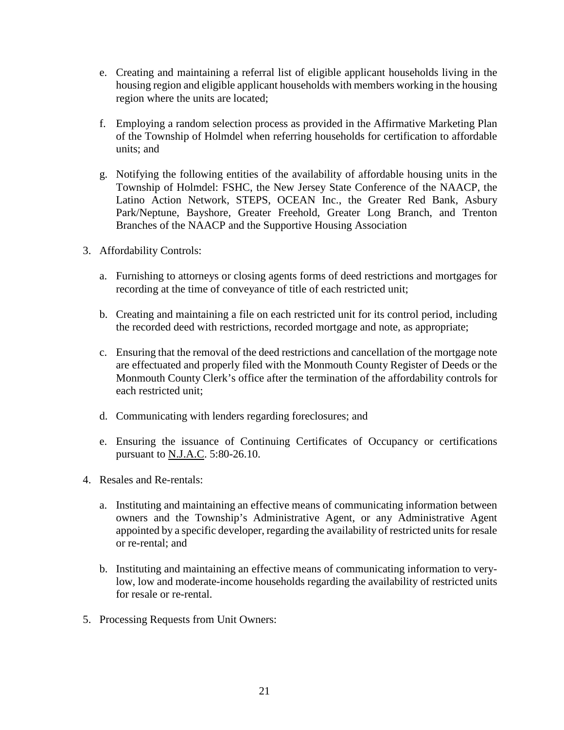- e. Creating and maintaining a referral list of eligible applicant households living in the housing region and eligible applicant households with members working in the housing region where the units are located;
- f. Employing a random selection process as provided in the Affirmative Marketing Plan of the Township of Holmdel when referring households for certification to affordable units; and
- g. Notifying the following entities of the availability of affordable housing units in the Township of Holmdel: FSHC, the New Jersey State Conference of the NAACP, the Latino Action Network, STEPS, OCEAN Inc., the Greater Red Bank, Asbury Park/Neptune, Bayshore, Greater Freehold, Greater Long Branch, and Trenton Branches of the NAACP and the Supportive Housing Association
- 3. Affordability Controls:
	- a. Furnishing to attorneys or closing agents forms of deed restrictions and mortgages for recording at the time of conveyance of title of each restricted unit;
	- b. Creating and maintaining a file on each restricted unit for its control period, including the recorded deed with restrictions, recorded mortgage and note, as appropriate;
	- c. Ensuring that the removal of the deed restrictions and cancellation of the mortgage note are effectuated and properly filed with the Monmouth County Register of Deeds or the Monmouth County Clerk's office after the termination of the affordability controls for each restricted unit;
	- d. Communicating with lenders regarding foreclosures; and
	- e. Ensuring the issuance of Continuing Certificates of Occupancy or certifications pursuant to N.J.A.C. 5:80-26.10.
- 4. Resales and Re-rentals:
	- a. Instituting and maintaining an effective means of communicating information between owners and the Township's Administrative Agent, or any Administrative Agent appointed by a specific developer, regarding the availability of restricted units for resale or re-rental; and
	- b. Instituting and maintaining an effective means of communicating information to verylow, low and moderate-income households regarding the availability of restricted units for resale or re-rental.
- 5. Processing Requests from Unit Owners: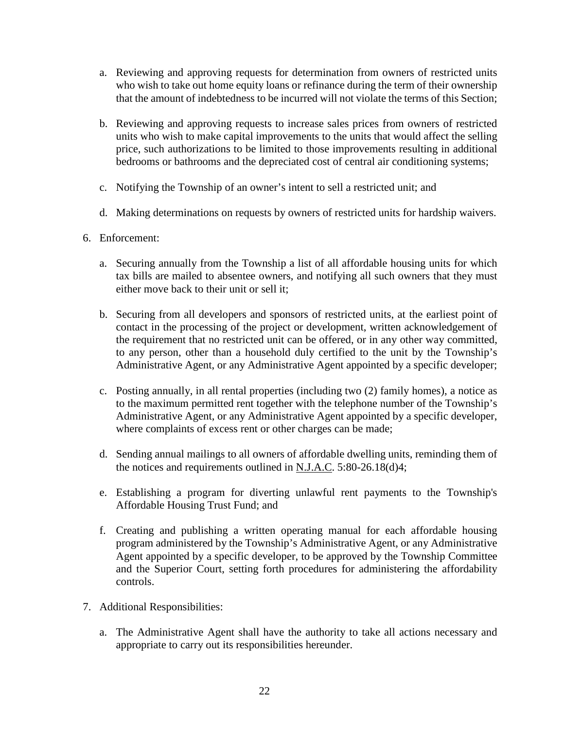- a. Reviewing and approving requests for determination from owners of restricted units who wish to take out home equity loans or refinance during the term of their ownership that the amount of indebtedness to be incurred will not violate the terms of this Section;
- b. Reviewing and approving requests to increase sales prices from owners of restricted units who wish to make capital improvements to the units that would affect the selling price, such authorizations to be limited to those improvements resulting in additional bedrooms or bathrooms and the depreciated cost of central air conditioning systems;
- c. Notifying the Township of an owner's intent to sell a restricted unit; and
- d. Making determinations on requests by owners of restricted units for hardship waivers.
- 6. Enforcement:
	- a. Securing annually from the Township a list of all affordable housing units for which tax bills are mailed to absentee owners, and notifying all such owners that they must either move back to their unit or sell it;
	- b. Securing from all developers and sponsors of restricted units, at the earliest point of contact in the processing of the project or development, written acknowledgement of the requirement that no restricted unit can be offered, or in any other way committed, to any person, other than a household duly certified to the unit by the Township's Administrative Agent, or any Administrative Agent appointed by a specific developer;
	- c. Posting annually, in all rental properties (including two (2) family homes), a notice as to the maximum permitted rent together with the telephone number of the Township's Administrative Agent, or any Administrative Agent appointed by a specific developer, where complaints of excess rent or other charges can be made;
	- d. Sending annual mailings to all owners of affordable dwelling units, reminding them of the notices and requirements outlined in N.J.A.C. 5:80-26.18(d)4;
	- e. Establishing a program for diverting unlawful rent payments to the Township's Affordable Housing Trust Fund; and
	- f. Creating and publishing a written operating manual for each affordable housing program administered by the Township's Administrative Agent, or any Administrative Agent appointed by a specific developer, to be approved by the Township Committee and the Superior Court, setting forth procedures for administering the affordability controls.
- 7. Additional Responsibilities:
	- a. The Administrative Agent shall have the authority to take all actions necessary and appropriate to carry out its responsibilities hereunder.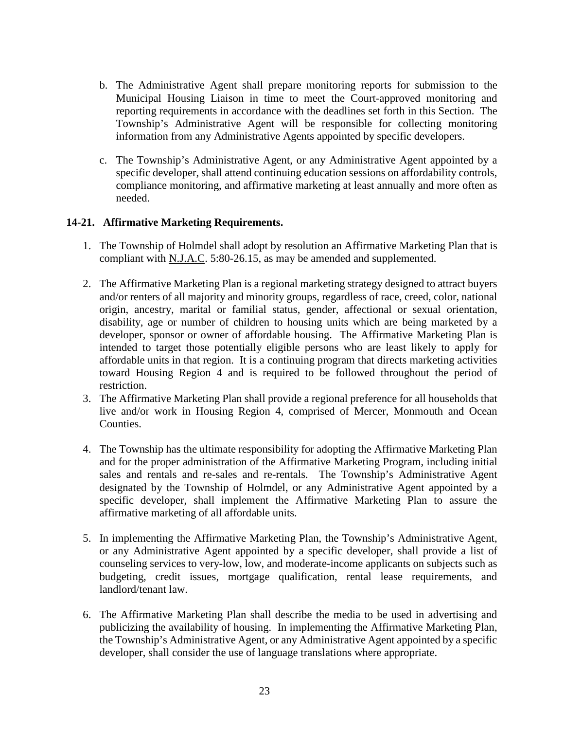- b. The Administrative Agent shall prepare monitoring reports for submission to the Municipal Housing Liaison in time to meet the Court-approved monitoring and reporting requirements in accordance with the deadlines set forth in this Section. The Township's Administrative Agent will be responsible for collecting monitoring information from any Administrative Agents appointed by specific developers.
- c. The Township's Administrative Agent, or any Administrative Agent appointed by a specific developer, shall attend continuing education sessions on affordability controls, compliance monitoring, and affirmative marketing at least annually and more often as needed.

### **14-21. Affirmative Marketing Requirements.**

- 1. The Township of Holmdel shall adopt by resolution an Affirmative Marketing Plan that is compliant with N.J.A.C. 5:80-26.15, as may be amended and supplemented.
- 2. The Affirmative Marketing Plan is a regional marketing strategy designed to attract buyers and/or renters of all majority and minority groups, regardless of race, creed, color, national origin, ancestry, marital or familial status, gender, affectional or sexual orientation, disability, age or number of children to housing units which are being marketed by a developer, sponsor or owner of affordable housing. The Affirmative Marketing Plan is intended to target those potentially eligible persons who are least likely to apply for affordable units in that region. It is a continuing program that directs marketing activities toward Housing Region 4 and is required to be followed throughout the period of restriction.
- 3. The Affirmative Marketing Plan shall provide a regional preference for all households that live and/or work in Housing Region 4, comprised of Mercer, Monmouth and Ocean Counties.
- 4. The Township has the ultimate responsibility for adopting the Affirmative Marketing Plan and for the proper administration of the Affirmative Marketing Program, including initial sales and rentals and re-sales and re-rentals. The Township's Administrative Agent designated by the Township of Holmdel, or any Administrative Agent appointed by a specific developer, shall implement the Affirmative Marketing Plan to assure the affirmative marketing of all affordable units.
- 5. In implementing the Affirmative Marketing Plan, the Township's Administrative Agent, or any Administrative Agent appointed by a specific developer, shall provide a list of counseling services to very-low, low, and moderate-income applicants on subjects such as budgeting, credit issues, mortgage qualification, rental lease requirements, and landlord/tenant law.
- 6. The Affirmative Marketing Plan shall describe the media to be used in advertising and publicizing the availability of housing. In implementing the Affirmative Marketing Plan, the Township's Administrative Agent, or any Administrative Agent appointed by a specific developer, shall consider the use of language translations where appropriate.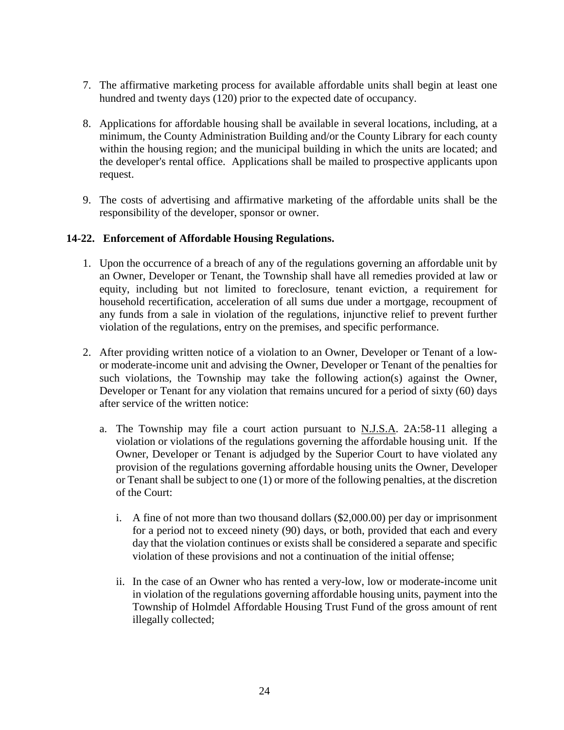- 7. The affirmative marketing process for available affordable units shall begin at least one hundred and twenty days (120) prior to the expected date of occupancy.
- 8. Applications for affordable housing shall be available in several locations, including, at a minimum, the County Administration Building and/or the County Library for each county within the housing region; and the municipal building in which the units are located; and the developer's rental office. Applications shall be mailed to prospective applicants upon request.
- 9. The costs of advertising and affirmative marketing of the affordable units shall be the responsibility of the developer, sponsor or owner.

### **14-22. Enforcement of Affordable Housing Regulations.**

- 1. Upon the occurrence of a breach of any of the regulations governing an affordable unit by an Owner, Developer or Tenant, the Township shall have all remedies provided at law or equity, including but not limited to foreclosure, tenant eviction, a requirement for household recertification, acceleration of all sums due under a mortgage, recoupment of any funds from a sale in violation of the regulations, injunctive relief to prevent further violation of the regulations, entry on the premises, and specific performance.
- 2. After providing written notice of a violation to an Owner, Developer or Tenant of a lowor moderate-income unit and advising the Owner, Developer or Tenant of the penalties for such violations, the Township may take the following action(s) against the Owner, Developer or Tenant for any violation that remains uncured for a period of sixty (60) days after service of the written notice:
	- a. The Township may file a court action pursuant to N.J.S.A. 2A:58-11 alleging a violation or violations of the regulations governing the affordable housing unit. If the Owner, Developer or Tenant is adjudged by the Superior Court to have violated any provision of the regulations governing affordable housing units the Owner, Developer or Tenant shall be subject to one (1) or more of the following penalties, at the discretion of the Court:
		- i. A fine of not more than two thousand dollars (\$2,000.00) per day or imprisonment for a period not to exceed ninety (90) days, or both, provided that each and every day that the violation continues or exists shall be considered a separate and specific violation of these provisions and not a continuation of the initial offense;
		- ii. In the case of an Owner who has rented a very-low, low or moderate-income unit in violation of the regulations governing affordable housing units, payment into the Township of Holmdel Affordable Housing Trust Fund of the gross amount of rent illegally collected;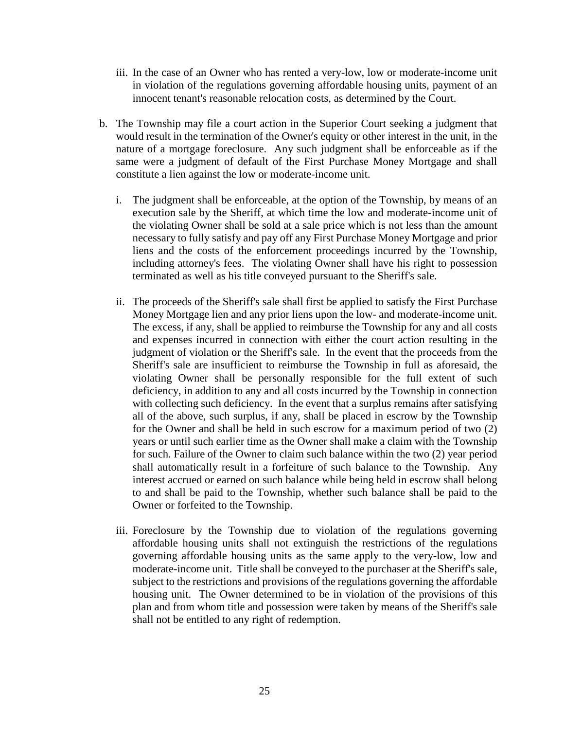- iii. In the case of an Owner who has rented a very-low, low or moderate-income unit in violation of the regulations governing affordable housing units, payment of an innocent tenant's reasonable relocation costs, as determined by the Court.
- b. The Township may file a court action in the Superior Court seeking a judgment that would result in the termination of the Owner's equity or other interest in the unit, in the nature of a mortgage foreclosure. Any such judgment shall be enforceable as if the same were a judgment of default of the First Purchase Money Mortgage and shall constitute a lien against the low or moderate-income unit.
	- i. The judgment shall be enforceable, at the option of the Township, by means of an execution sale by the Sheriff, at which time the low and moderate-income unit of the violating Owner shall be sold at a sale price which is not less than the amount necessary to fully satisfy and pay off any First Purchase Money Mortgage and prior liens and the costs of the enforcement proceedings incurred by the Township, including attorney's fees. The violating Owner shall have his right to possession terminated as well as his title conveyed pursuant to the Sheriff's sale.
	- ii. The proceeds of the Sheriff's sale shall first be applied to satisfy the First Purchase Money Mortgage lien and any prior liens upon the low- and moderate-income unit. The excess, if any, shall be applied to reimburse the Township for any and all costs and expenses incurred in connection with either the court action resulting in the judgment of violation or the Sheriff's sale. In the event that the proceeds from the Sheriff's sale are insufficient to reimburse the Township in full as aforesaid, the violating Owner shall be personally responsible for the full extent of such deficiency, in addition to any and all costs incurred by the Township in connection with collecting such deficiency. In the event that a surplus remains after satisfying all of the above, such surplus, if any, shall be placed in escrow by the Township for the Owner and shall be held in such escrow for a maximum period of two (2) years or until such earlier time as the Owner shall make a claim with the Township for such. Failure of the Owner to claim such balance within the two (2) year period shall automatically result in a forfeiture of such balance to the Township. Any interest accrued or earned on such balance while being held in escrow shall belong to and shall be paid to the Township, whether such balance shall be paid to the Owner or forfeited to the Township.
	- iii. Foreclosure by the Township due to violation of the regulations governing affordable housing units shall not extinguish the restrictions of the regulations governing affordable housing units as the same apply to the very-low, low and moderate-income unit. Title shall be conveyed to the purchaser at the Sheriff's sale, subject to the restrictions and provisions of the regulations governing the affordable housing unit. The Owner determined to be in violation of the provisions of this plan and from whom title and possession were taken by means of the Sheriff's sale shall not be entitled to any right of redemption.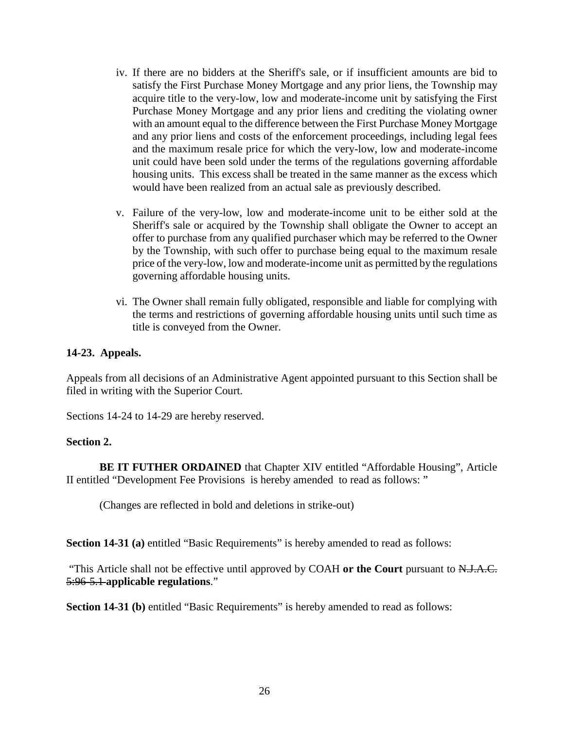- iv. If there are no bidders at the Sheriff's sale, or if insufficient amounts are bid to satisfy the First Purchase Money Mortgage and any prior liens, the Township may acquire title to the very-low, low and moderate-income unit by satisfying the First Purchase Money Mortgage and any prior liens and crediting the violating owner with an amount equal to the difference between the First Purchase Money Mortgage and any prior liens and costs of the enforcement proceedings, including legal fees and the maximum resale price for which the very-low, low and moderate-income unit could have been sold under the terms of the regulations governing affordable housing units. This excess shall be treated in the same manner as the excess which would have been realized from an actual sale as previously described.
- v. Failure of the very-low, low and moderate-income unit to be either sold at the Sheriff's sale or acquired by the Township shall obligate the Owner to accept an offer to purchase from any qualified purchaser which may be referred to the Owner by the Township, with such offer to purchase being equal to the maximum resale price of the very-low, low and moderate-income unit as permitted by the regulations governing affordable housing units.
- vi. The Owner shall remain fully obligated, responsible and liable for complying with the terms and restrictions of governing affordable housing units until such time as title is conveyed from the Owner.

### **14-23. Appeals.**

Appeals from all decisions of an Administrative Agent appointed pursuant to this Section shall be filed in writing with the Superior Court.

Sections 14-24 to 14-29 are hereby reserved.

#### **Section 2.**

**BE IT FUTHER ORDAINED** that Chapter XIV entitled "Affordable Housing", Article II entitled "Development Fee Provisions is hereby amended to read as follows: "

(Changes are reflected in bold and deletions in strike-out)

**Section 14-31 (a)** entitled "Basic Requirements" is hereby amended to read as follows:

"This Article shall not be effective until approved by COAH **or the Court** pursuant to N.J.A.C. 5:96-5.1 **applicable regulations**."

**Section 14-31 (b)** entitled "Basic Requirements" is hereby amended to read as follows: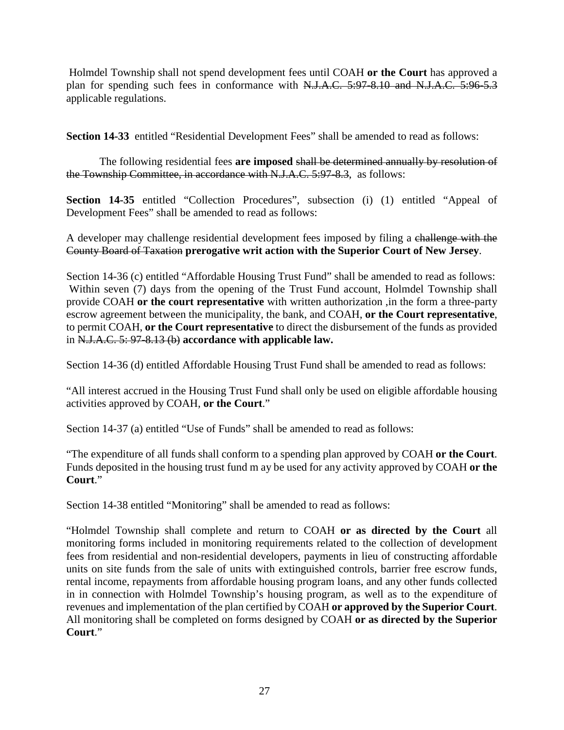Holmdel Township shall not spend development fees until COAH **or the Court** has approved a plan for spending such fees in conformance with N.J.A.C. 5:97-8.10 and N.J.A.C. 5:96-5.3 applicable regulations.

**Section 14-33** entitled "Residential Development Fees" shall be amended to read as follows:

The following residential fees **are imposed** shall be determined annually by resolution of the Township Committee, in accordance with N.J.A.C. 5:97-8.3, as follows:

**Section 14-35** entitled "Collection Procedures", subsection (i) (1) entitled "Appeal of Development Fees" shall be amended to read as follows:

A developer may challenge residential development fees imposed by filing a challenge with the County Board of Taxation **prerogative writ action with the Superior Court of New Jersey**.

Section 14-36 (c) entitled "Affordable Housing Trust Fund" shall be amended to read as follows: Within seven (7) days from the opening of the Trust Fund account, Holmdel Township shall provide COAH **or the court representative** with written authorization ,in the form a three-party escrow agreement between the municipality, the bank, and COAH, **or the Court representative**, to permit COAH, **or the Court representative** to direct the disbursement of the funds as provided in N.J.A.C. 5: 97-8.13 (b) **accordance with applicable law.**

Section 14-36 (d) entitled Affordable Housing Trust Fund shall be amended to read as follows:

"All interest accrued in the Housing Trust Fund shall only be used on eligible affordable housing activities approved by COAH, **or the Court**."

Section 14-37 (a) entitled "Use of Funds" shall be amended to read as follows:

"The expenditure of all funds shall conform to a spending plan approved by COAH **or the Court**. Funds deposited in the housing trust fund m ay be used for any activity approved by COAH **or the Court**."

Section 14-38 entitled "Monitoring" shall be amended to read as follows:

"Holmdel Township shall complete and return to COAH **or as directed by the Court** all monitoring forms included in monitoring requirements related to the collection of development fees from residential and non-residential developers, payments in lieu of constructing affordable units on site funds from the sale of units with extinguished controls, barrier free escrow funds, rental income, repayments from affordable housing program loans, and any other funds collected in in connection with Holmdel Township's housing program, as well as to the expenditure of revenues and implementation of the plan certified by COAH **or approved by the Superior Court**. All monitoring shall be completed on forms designed by COAH **or as directed by the Superior Court**."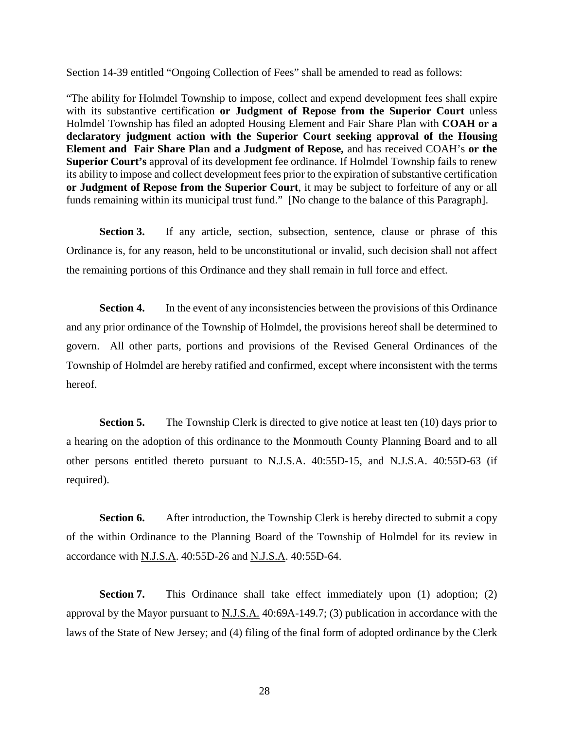Section 14-39 entitled "Ongoing Collection of Fees" shall be amended to read as follows:

"The ability for Holmdel Township to impose, collect and expend development fees shall expire with its substantive certification **or Judgment of Repose from the Superior Court** unless Holmdel Township has filed an adopted Housing Element and Fair Share Plan with **COAH or a declaratory judgment action with the Superior Court seeking approval of the Housing Element and Fair Share Plan and a Judgment of Repose,** and has received COAH's **or the Superior Court's** approval of its development fee ordinance. If Holmdel Township fails to renew its ability to impose and collect development fees prior to the expiration of substantive certification **or Judgment of Repose from the Superior Court**, it may be subject to forfeiture of any or all funds remaining within its municipal trust fund." [No change to the balance of this Paragraph].

**Section 3.** If any article, section, subsection, sentence, clause or phrase of this Ordinance is, for any reason, held to be unconstitutional or invalid, such decision shall not affect the remaining portions of this Ordinance and they shall remain in full force and effect.

**Section 4.** In the event of any inconsistencies between the provisions of this Ordinance and any prior ordinance of the Township of Holmdel, the provisions hereof shall be determined to govern. All other parts, portions and provisions of the Revised General Ordinances of the Township of Holmdel are hereby ratified and confirmed, except where inconsistent with the terms hereof.

**Section 5.** The Township Clerk is directed to give notice at least ten (10) days prior to a hearing on the adoption of this ordinance to the Monmouth County Planning Board and to all other persons entitled thereto pursuant to N.J.S.A. 40:55D-15, and N.J.S.A. 40:55D-63 (if required).

**Section 6.** After introduction, the Township Clerk is hereby directed to submit a copy of the within Ordinance to the Planning Board of the Township of Holmdel for its review in accordance with N.J.S.A. 40:55D-26 and N.J.S.A. 40:55D-64.

**Section 7.** This Ordinance shall take effect immediately upon (1) adoption; (2) approval by the Mayor pursuant to N.J.S.A. 40:69A-149.7; (3) publication in accordance with the laws of the State of New Jersey; and (4) filing of the final form of adopted ordinance by the Clerk